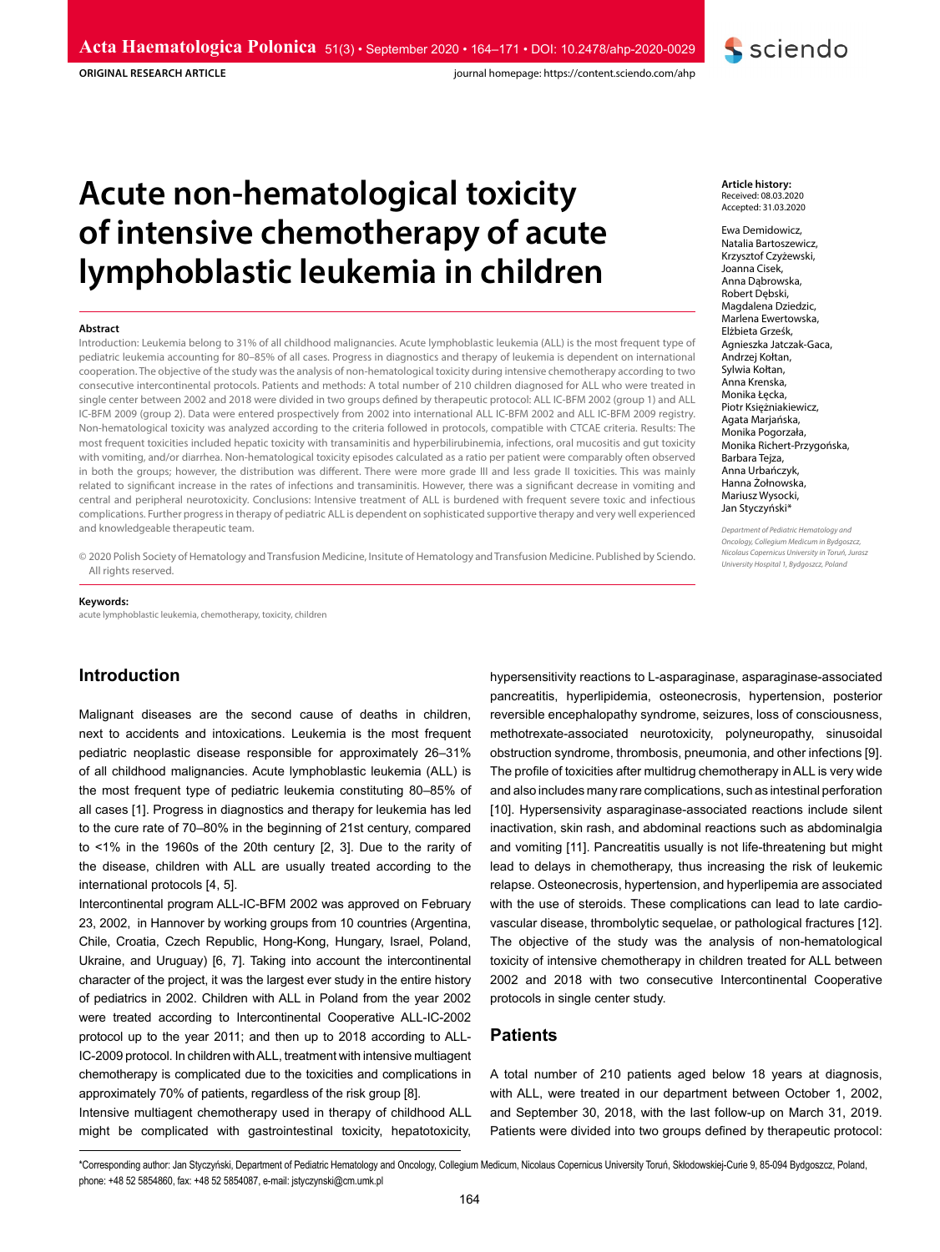**ORIGINAL RESEARCH ARTICLE**

journal homepage: https://content.sciendo.com/ahp

# **Acute non-hematological toxicity of intensive chemotherapy of acute lymphoblastic leukemia in children**

#### **Abstract**

Introduction: Leukemia belong to 31% of all childhood malignancies. Acute lymphoblastic leukemia (ALL) is the most frequent type of pediatric leukemia accounting for 80–85% of all cases. Progress in diagnostics and therapy of leukemia is dependent on international cooperation. The objective of the study was the analysis of non-hematological toxicity during intensive chemotherapy according to two consecutive intercontinental protocols. Patients and methods: A total number of 210 children diagnosed for ALL who were treated in single center between 2002 and 2018 were divided in two groups defined by therapeutic protocol: ALL IC-BFM 2002 (group 1) and ALL IC-BFM 2009 (group 2). Data were entered prospectively from 2002 into international ALL IC-BFM 2002 and ALL IC-BFM 2009 registry. Non-hematological toxicity was analyzed according to the criteria followed in protocols, compatible with CTCAE criteria. Results: The most frequent toxicities included hepatic toxicity with transaminitis and hyperbilirubinemia, infections, oral mucositis and gut toxicity with vomiting, and/or diarrhea. Non-hematological toxicity episodes calculated as a ratio per patient were comparably often observed in both the groups; however, the distribution was different. There were more grade III and less grade II toxicities. This was mainly related to significant increase in the rates of infections and transaminitis. However, there was a significant decrease in vomiting and central and peripheral neurotoxicity. Conclusions: Intensive treatment of ALL is burdened with frequent severe toxic and infectious complications. Further progress in therapy of pediatric ALL is dependent on sophisticated supportive therapy and very well experienced and knowledgeable therapeutic team.

© 2020 Polish Society of Hematology and Transfusion Medicine, Insitute of Hematology and Transfusion Medicine. Published by Sciendo. All rights reserved.

#### **Keywords:**

acute lymphoblastic leukemia, chemotherapy, toxicity, children

## **Introduction**

Malignant diseases are the second cause of deaths in children, next to accidents and intoxications. Leukemia is the most frequent pediatric neoplastic disease responsible for approximately 26–31% of all childhood malignancies. Acute lymphoblastic leukemia (ALL) is the most frequent type of pediatric leukemia constituting 80–85% of all cases [1]. Progress in diagnostics and therapy for leukemia has led to the cure rate of 70–80% in the beginning of 21st century, compared to <1% in the 1960s of the 20th century [2, 3]. Due to the rarity of the disease, children with ALL are usually treated according to the international protocols [4, 5].

Intercontinental program ALL-IC-BFM 2002 was approved on February 23, 2002, in Hannover by working groups from 10 countries (Argentina, Chile, Croatia, Czech Republic, Hong-Kong, Hungary, Israel, Poland, Ukraine, and Uruguay) [6, 7]. Taking into account the intercontinental character of the project, it was the largest ever study in the entire history of pediatrics in 2002. Children with ALL in Poland from the year 2002 were treated according to Intercontinental Cooperative ALL-IC-2002 protocol up to the year 2011; and then up to 2018 according to ALL-IC-2009 protocol. In children with ALL, treatment with intensive multiagent chemotherapy is complicated due to the toxicities and complications in approximately 70% of patients, regardless of the risk group [8].

Intensive multiagent chemotherapy used in therapy of childhood ALL might be complicated with gastrointestinal toxicity, hepatotoxicity,

hypersensitivity reactions to L-asparaginase, asparaginase-associated pancreatitis, hyperlipidemia, osteonecrosis, hypertension, posterior reversible encephalopathy syndrome, seizures, loss of consciousness, methotrexate-associated neurotoxicity, polyneuropathy, sinusoidal obstruction syndrome, thrombosis, pneumonia, and other infections [9]. The profile of toxicities after multidrug chemotherapy in ALL is very wide and also includes many rare complications, such as intestinal perforation [10]. Hypersensivity asparaginase-associated reactions include silent inactivation, skin rash, and abdominal reactions such as abdominalgia and vomiting [11]. Pancreatitis usually is not life-threatening but might lead to delays in chemotherapy, thus increasing the risk of leukemic relapse. Osteonecrosis, hypertension, and hyperlipemia are associated with the use of steroids. These complications can lead to late cardiovascular disease, thrombolytic sequelae, or pathological fractures [12]. The objective of the study was the analysis of non-hematological toxicity of intensive chemotherapy in children treated for ALL between 2002 and 2018 with two consecutive Intercontinental Cooperative protocols in single center study.

## **Patients**

A total number of 210 patients aged below 18 years at diagnosis, with ALL, were treated in our department between October 1, 2002, and September 30, 2018, with the last follow-up on March 31, 2019. Patients were divided into two groups defined by therapeutic protocol:

\*Corresponding author: Jan Styczyński, Department of Pediatric Hematology and Oncology, Collegium Medicum, Nicolaus Copernicus University Toruń, Skłodowskiej-Curie 9, 85-094 Bydgoszcz, Poland, phone: +48 52 5854860, fax: +48 52 5854087, e-mail: jstyczynski@cm.umk.pl

Ewa Demidowicz, Natalia Bartoszewicz, Krzysztof Czyżewski, Joanna Cisek, Anna Dąbrowska, Robert Dębski, Magdalena Dziedzic, Marlena Ewertowska, Elżbieta Grześk, Agnieszka Jatczak-Gaca, Andrzej Kołtan, Sylwia Kołtan, Anna Krenska, Monika Łęcka, Piotr Księżniakiewicz, Agata Marjańska, Monika Pogorzała, Monika Richert-Przygońska, Barbara Tejza, Anna Urbańczyk, Hanna Żołnowska, Mariusz Wysocki, Jan Styczyński\*

*Department of Pediatric Hematology and Oncology, Collegium Medicum in Bydgoszcz, Nicolaus Copernicus University in Toruń, Jurasz University Hospital 1, Bydgoszcz, Poland*

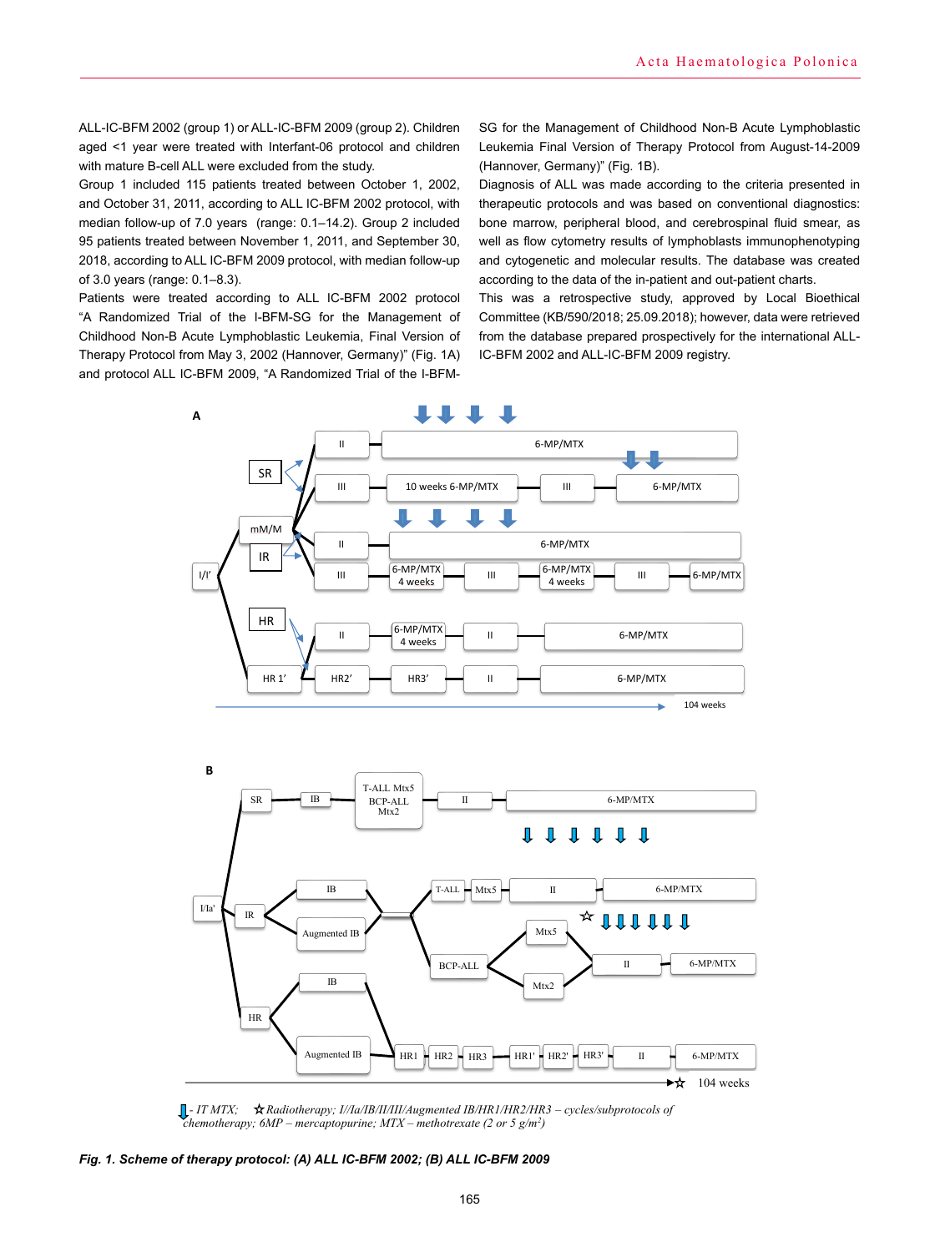ALL-IC-BFM 2002 (group 1) or ALL-IC-BFM 2009 (group 2). Children aged <1 year were treated with Interfant-06 protocol and children with mature B-cell ALL were excluded from the study.

Group 1 included 115 patients treated between October 1, 2002, and October 31, 2011, according to ALL IC-BFM 2002 protocol, with median follow-up of 7.0 years (range: 0.1–14.2). Group 2 included 95 patients treated between November 1, 2011, and September 30, 2018, according to ALL IC-BFM 2009 protocol, with median follow-up of 3.0 years (range: 0.1–8.3).

Patients were treated according to ALL IC-BFM 2002 protocol "A Randomized Trial of the I-BFM-SG for the Management of Childhood Non-B Acute Lymphoblastic Leukemia, Final Version of Therapy Protocol from May 3, 2002 (Hannover, Germany)" (Fig. 1A) and protocol ALL IC-BFM 2009, "A Randomized Trial of the I-BFM-

SG for the Management of Childhood Non-B Acute Lymphoblastic Leukemia Final Version of Therapy Protocol from August-14-2009 (Hannover, Germany)" (Fig. 1B).

Diagnosis of ALL was made according to the criteria presented in therapeutic protocols and was based on conventional diagnostics: bone marrow, peripheral blood, and cerebrospinal fluid smear, as well as flow cytometry results of lymphoblasts immunophenotyping and cytogenetic and molecular results. The database was created according to the data of the in-patient and out-patient charts.

This was a retrospective study, approved by Local Bioethical Committee (KB/590/2018; 25.09.2018); however, data were retrieved from the database prepared prospectively for the international ALL-IC-BFM 2002 and ALL-IC-BFM 2009 registry.





 *- IT MTX; Radiotherapy; I//Ia/IB/II/III/Augmented IB/HR1/HR2/HR3 – cycles/subprotocols of chemotherapy; 6MP – mercaptopurine; MTX – methotrexate (2 or 5 g/m2 )*

*Fig. 1. Scheme of therapy protocol: (A) ALL IC-BFM 2002; (B) ALL IC-BFM 2009*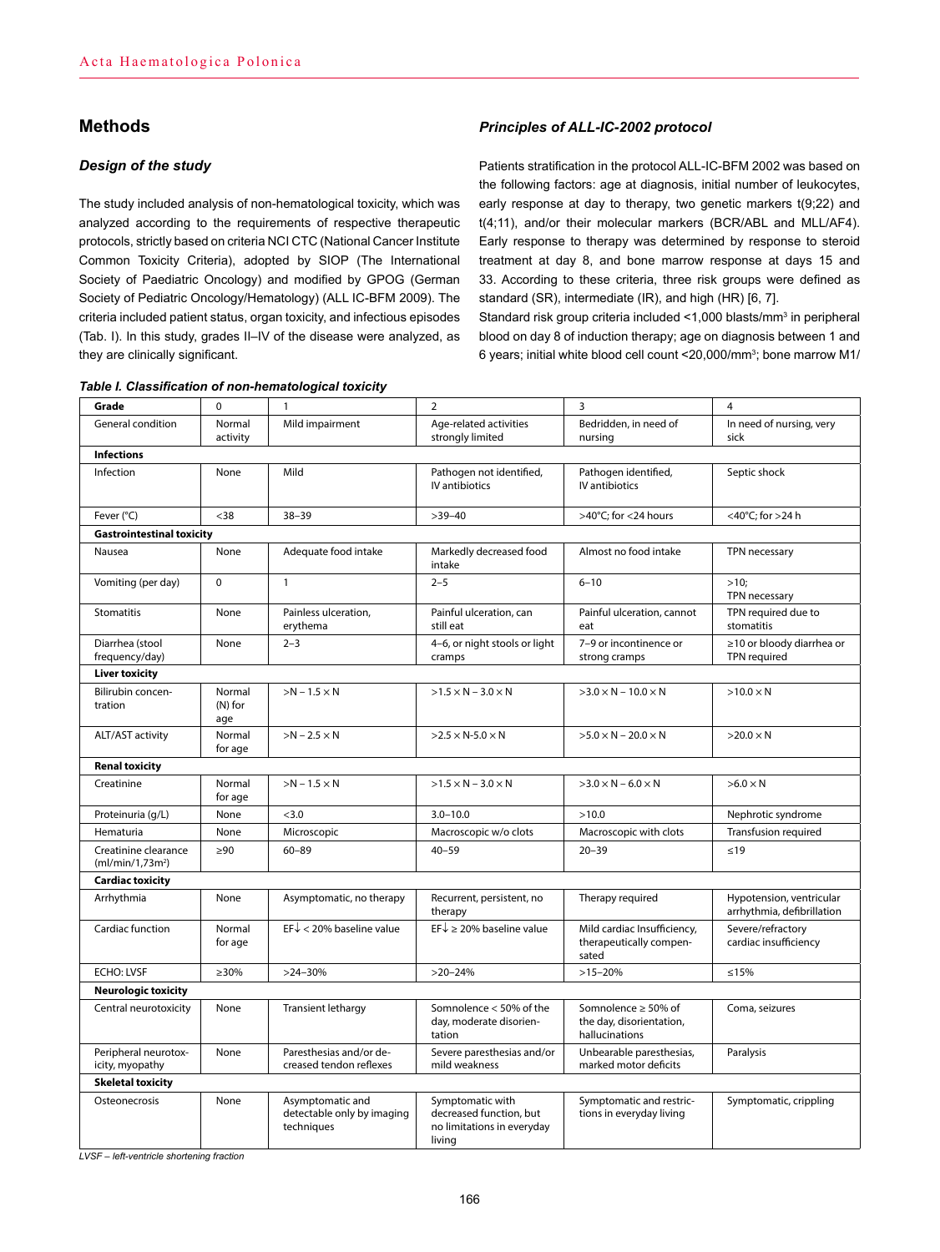# **Methods**

## *Design of the study*

The study included analysis of non-hematological toxicity, which was analyzed according to the requirements of respective therapeutic protocols, strictly based on criteria NCI CTC (National Cancer Institute Common Toxicity Criteria), adopted by SIOP (The International Society of Paediatric Oncology) and modified by GPOG (German Society of Pediatric Oncology/Hematology) (ALL IC-BFM 2009). The criteria included patient status, organ toxicity, and infectious episodes (Tab. I). In this study, grades II–IV of the disease were analyzed, as they are clinically significant.

#### *Table I. Classification of non-hematological toxicity*

## *Principles of ALL-IC-2002 protocol*

Patients stratification in the protocol ALL-IC-BFM 2002 was based on the following factors: age at diagnosis, initial number of leukocytes, early response at day to therapy, two genetic markers t(9;22) and t(4;11), and/or their molecular markers (BCR/ABL and MLL/AF4). Early response to therapy was determined by response to steroid treatment at day 8, and bone marrow response at days 15 and 33. According to these criteria, three risk groups were defined as standard (SR), intermediate (IR), and high (HR) [6, 7].

Standard risk group criteria included <1,000 blasts/mm<sup>3</sup> in peripheral blood on day 8 of induction therapy; age on diagnosis between 1 and 6 years; initial white blood cell count <20,000/mm<sup>3</sup>; bone marrow M1/

| Grade                                                | $\mathbf 0$                | $\mathbf{1}$                                                 | $\overline{2}$                                                                      | 3                                                                 | $\overline{4}$                                         |  |  |
|------------------------------------------------------|----------------------------|--------------------------------------------------------------|-------------------------------------------------------------------------------------|-------------------------------------------------------------------|--------------------------------------------------------|--|--|
| General condition                                    | Normal<br>activity         | Mild impairment                                              | Age-related activities<br>strongly limited                                          | Bedridden, in need of<br>nursing                                  | In need of nursing, very<br>sick                       |  |  |
| <b>Infections</b>                                    |                            |                                                              |                                                                                     |                                                                   |                                                        |  |  |
| Infection                                            | None                       | Mild                                                         | Pathogen not identified,<br>IV antibiotics                                          | Pathogen identified,<br>IV antibiotics                            | Septic shock                                           |  |  |
| Fever (°C)                                           | $38$                       | $38 - 39$                                                    | $>39-40$                                                                            | >40°C; for <24 hours                                              | <40°C; for >24 h                                       |  |  |
| <b>Gastrointestinal toxicity</b>                     |                            |                                                              |                                                                                     |                                                                   |                                                        |  |  |
| Nausea                                               | None                       | Adequate food intake                                         | Markedly decreased food<br>intake                                                   | Almost no food intake                                             | TPN necessary                                          |  |  |
| Vomiting (per day)                                   | $\Omega$                   | $\mathbf{1}$                                                 | $2 - 5$                                                                             | $6 - 10$                                                          | >10<br>TPN necessary                                   |  |  |
| Stomatitis                                           | None                       | Painless ulceration,<br>erythema                             | Painful ulceration, can<br>still eat                                                | Painful ulceration, cannot<br>eat                                 | TPN required due to<br>stomatitis                      |  |  |
| Diarrhea (stool<br>frequency/day)                    | None                       | $2 - 3$                                                      | 4-6, or night stools or light<br>cramps                                             | 7-9 or incontinence or<br>strong cramps                           | ≥10 or bloody diarrhea or<br>TPN required              |  |  |
| Liver toxicity                                       |                            |                                                              |                                                                                     |                                                                   |                                                        |  |  |
| Bilirubin concen-<br>tration                         | Normal<br>$(N)$ for<br>age | $>N-1.5\times N$                                             | $>1.5 \times N - 3.0 \times N$                                                      | $>3.0 \times N - 10.0 \times N$                                   | $>10.0 \times N$                                       |  |  |
| ALT/AST activity                                     | Normal<br>for age          | $>N - 2.5 \times N$                                          | $>2.5 \times N$ -5.0 $\times N$                                                     | $>5.0 \times N - 20.0 \times N$                                   | $>20.0 \times N$                                       |  |  |
| <b>Renal toxicity</b>                                |                            |                                                              |                                                                                     |                                                                   |                                                        |  |  |
| Creatinine                                           | Normal<br>for age          | $>N - 1.5 \times N$                                          | $>1.5 \times N - 3.0 \times N$                                                      | $>3.0 \times N - 6.0 \times N$                                    | $>6.0 \times N$                                        |  |  |
| Proteinuria (g/L)                                    | None                       | < 3.0                                                        | $3.0 - 10.0$                                                                        | >10.0                                                             | Nephrotic syndrome                                     |  |  |
| Hematuria                                            | None                       | Microscopic                                                  | Macroscopic w/o clots                                                               | Macroscopic with clots                                            | Transfusion required                                   |  |  |
| Creatinine clearance<br>(mI/min/1,73m <sup>2</sup> ) | $\geq 90$                  | $60 - 89$                                                    | $40 - 59$                                                                           | $20 - 39$                                                         | $\leq 19$                                              |  |  |
| <b>Cardiac toxicity</b>                              |                            |                                                              |                                                                                     |                                                                   |                                                        |  |  |
| Arrhythmia                                           | None                       | Asymptomatic, no therapy                                     | Recurrent, persistent, no<br>therapy                                                | Therapy required                                                  | Hypotension, ventricular<br>arrhythmia, defibrillation |  |  |
| Cardiac function                                     | Normal<br>for age          | $EF\downarrow$ < 20% baseline value                          | $EF\downarrow$ $\geq$ 20% baseline value                                            | Mild cardiac Insufficiency,<br>therapeutically compen-<br>sated   | Severe/refractory<br>cardiac insufficiency             |  |  |
| <b>ECHO: LVSF</b>                                    | $\geq 30\%$                | $>24-30%$                                                    | $>20-24%$                                                                           | $>15-20%$                                                         | ≤15%                                                   |  |  |
| <b>Neurologic toxicity</b>                           |                            |                                                              |                                                                                     |                                                                   |                                                        |  |  |
| Central neurotoxicity                                | None                       | <b>Transient lethargy</b>                                    | Somnolence < 50% of the<br>day, moderate disorien-<br>tation                        | Somnolence ≥ 50% of<br>the day, disorientation,<br>hallucinations | Coma, seizures                                         |  |  |
| Peripheral neurotox-<br>icity, myopathy              | None                       | Paresthesias and/or de-<br>creased tendon reflexes           | Severe paresthesias and/or<br>mild weakness                                         | Unbearable paresthesias,<br>marked motor deficits                 | Paralysis                                              |  |  |
| <b>Skeletal toxicity</b>                             |                            |                                                              |                                                                                     |                                                                   |                                                        |  |  |
| Osteonecrosis                                        | None                       | Asymptomatic and<br>detectable only by imaging<br>techniques | Symptomatic with<br>decreased function, but<br>no limitations in everyday<br>living | Symptomatic and restric-<br>tions in everyday living              | Symptomatic, crippling                                 |  |  |

*LVSF – left-ventricle shortening fraction*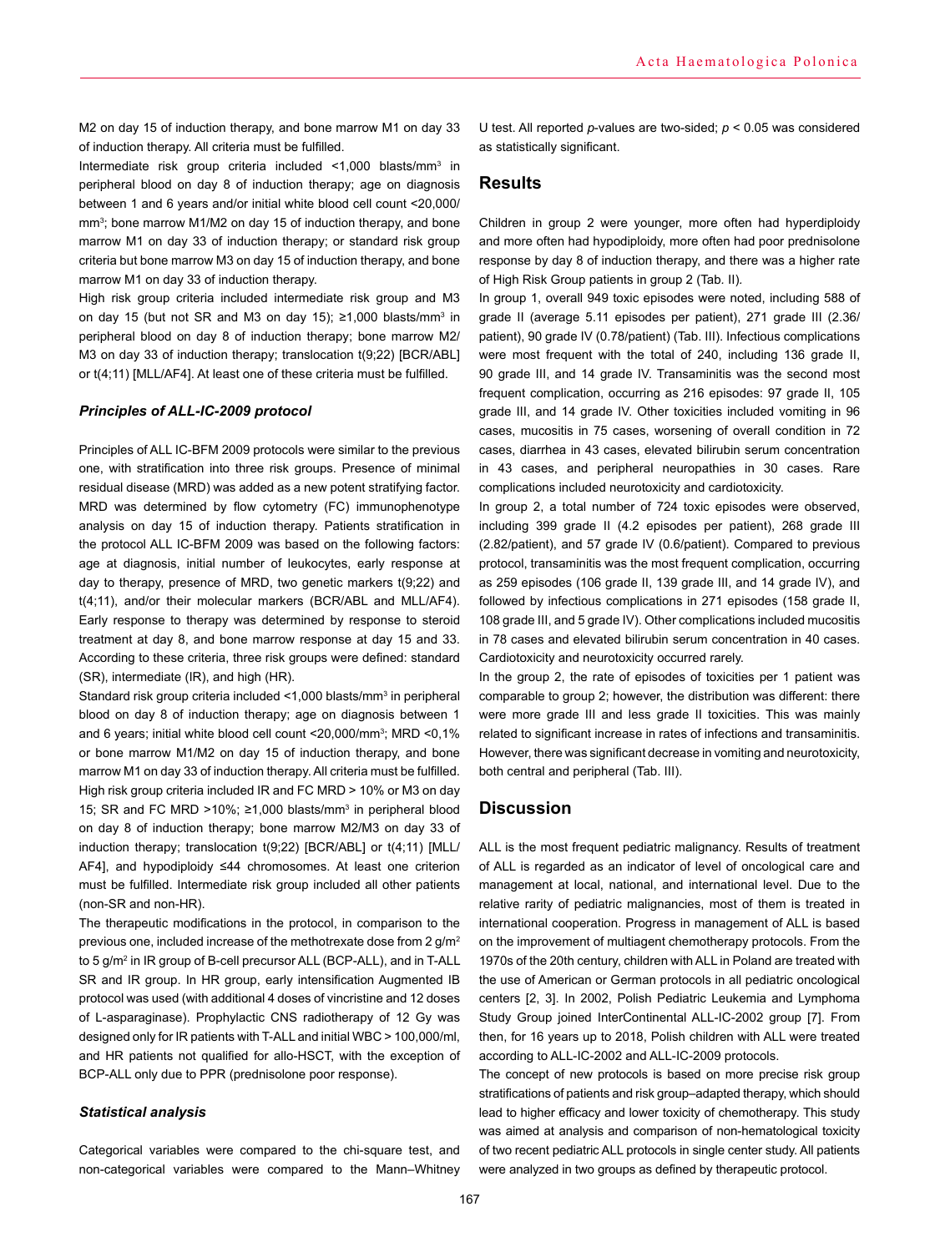M2 on day 15 of induction therapy, and bone marrow M1 on day 33 of induction therapy. All criteria must be fulfilled.

Intermediate risk group criteria included <1,000 blasts/mm3 in peripheral blood on day 8 of induction therapy; age on diagnosis between 1 and 6 years and/or initial white blood cell count <20,000/ mm3 ; bone marrow M1/M2 on day 15 of induction therapy, and bone marrow M1 on day 33 of induction therapy; or standard risk group criteria but bone marrow M3 on day 15 of induction therapy, and bone marrow M1 on day 33 of induction therapy.

High risk group criteria included intermediate risk group and M3 on day 15 (but not SR and M3 on day 15); ≥1,000 blasts/mm<sup>3</sup> in peripheral blood on day 8 of induction therapy; bone marrow M2/ M3 on day 33 of induction therapy; translocation t(9;22) [BCR/ABL] or t(4;11) [MLL/AF4]. At least one of these criteria must be fulfilled.

### *Principles of ALL-IC-2009 protocol*

Principles of ALL IC-BFM 2009 protocols were similar to the previous one, with stratification into three risk groups. Presence of minimal residual disease (MRD) was added as a new potent stratifying factor. MRD was determined by flow cytometry (FC) immunophenotype analysis on day 15 of induction therapy. Patients stratification in the protocol ALL IC-BFM 2009 was based on the following factors: age at diagnosis, initial number of leukocytes, early response at day to therapy, presence of MRD, two genetic markers t(9;22) and t(4;11), and/or their molecular markers (BCR/ABL and MLL/AF4). Early response to therapy was determined by response to steroid treatment at day 8, and bone marrow response at day 15 and 33. According to these criteria, three risk groups were defined: standard (SR), intermediate (IR), and high (HR).

Standard risk group criteria included <1,000 blasts/mm<sup>3</sup> in peripheral blood on day 8 of induction therapy; age on diagnosis between 1 and 6 years; initial white blood cell count <20,000/mm3 ; MRD <0,1% or bone marrow M1/M2 on day 15 of induction therapy, and bone marrow M1 on day 33 of induction therapy. All criteria must be fulfilled. High risk group criteria included IR and FC MRD > 10% or M3 on day 15; SR and FC MRD >10%; ≥1,000 blasts/mm<sup>3</sup> in peripheral blood on day 8 of induction therapy; bone marrow M2/M3 on day 33 of induction therapy; translocation t(9;22) [BCR/ABL] or t(4;11) [MLL/ AF4], and hypodiploidy ≤44 chromosomes. At least one criterion must be fulfilled. Intermediate risk group included all other patients (non-SR and non-HR).

The therapeutic modifications in the protocol, in comparison to the previous one, included increase of the methotrexate dose from 2 g/m2 to 5 g/m2 in IR group of B-cell precursor ALL (BCP-ALL), and in T-ALL SR and IR group. In HR group, early intensification Augmented IB protocol was used (with additional 4 doses of vincristine and 12 doses of L-asparaginase). Prophylactic CNS radiotherapy of 12 Gy was designed only for IR patients with T-ALL and initial WBC > 100,000/ml, and HR patients not qualified for allo-HSCT, with the exception of BCP-ALL only due to PPR (prednisolone poor response).

#### *Statistical analysis*

Categorical variables were compared to the chi-square test, and non-categorical variables were compared to the Mann–Whitney U test. All reported *p*-values are two-sided; *p* < 0.05 was considered as statistically significant.

## **Results**

Children in group 2 were younger, more often had hyperdiploidy and more often had hypodiploidy, more often had poor prednisolone response by day 8 of induction therapy, and there was a higher rate of High Risk Group patients in group 2 (Tab*.* II)*.*

In group 1, overall 949 toxic episodes were noted, including 588 of grade II (average 5.11 episodes per patient), 271 grade III (2.36/ patient), 90 grade IV (0.78/patient) (Tab. III). Infectious complications were most frequent with the total of 240, including 136 grade II, 90 grade III, and 14 grade IV. Transaminitis was the second most frequent complication, occurring as 216 episodes: 97 grade II, 105 grade III, and 14 grade IV. Other toxicities included vomiting in 96 cases, mucositis in 75 cases, worsening of overall condition in 72 cases, diarrhea in 43 cases, elevated bilirubin serum concentration in 43 cases, and peripheral neuropathies in 30 cases. Rare complications included neurotoxicity and cardiotoxicity.

In group 2, a total number of 724 toxic episodes were observed, including 399 grade II (4.2 episodes per patient), 268 grade III (2.82/patient), and 57 grade IV (0.6/patient). Compared to previous protocol, transaminitis was the most frequent complication, occurring as 259 episodes (106 grade II, 139 grade III, and 14 grade IV), and followed by infectious complications in 271 episodes (158 grade II, 108 grade III, and 5 grade IV). Other complications included mucositis in 78 cases and elevated bilirubin serum concentration in 40 cases. Cardiotoxicity and neurotoxicity occurred rarely.

In the group 2, the rate of episodes of toxicities per 1 patient was comparable to group 2; however, the distribution was different: there were more grade III and less grade II toxicities. This was mainly related to significant increase in rates of infections and transaminitis. However, there was significant decrease in vomiting and neurotoxicity, both central and peripheral (Tab. III).

## **Discussion**

ALL is the most frequent pediatric malignancy. Results of treatment of ALL is regarded as an indicator of level of oncological care and management at local, national, and international level. Due to the relative rarity of pediatric malignancies, most of them is treated in international cooperation. Progress in management of ALL is based on the improvement of multiagent chemotherapy protocols. From the 1970s of the 20th century, children with ALL in Poland are treated with the use of American or German protocols in all pediatric oncological centers [2, 3]. In 2002, Polish Pediatric Leukemia and Lymphoma Study Group joined InterContinental ALL-IC-2002 group [7]. From then, for 16 years up to 2018, Polish children with ALL were treated according to ALL-IC-2002 and ALL-IC-2009 protocols.

The concept of new protocols is based on more precise risk group stratifications of patients and risk group–adapted therapy, which should lead to higher efficacy and lower toxicity of chemotherapy. This study was aimed at analysis and comparison of non-hematological toxicity of two recent pediatric ALL protocols in single center study. All patients were analyzed in two groups as defined by therapeutic protocol.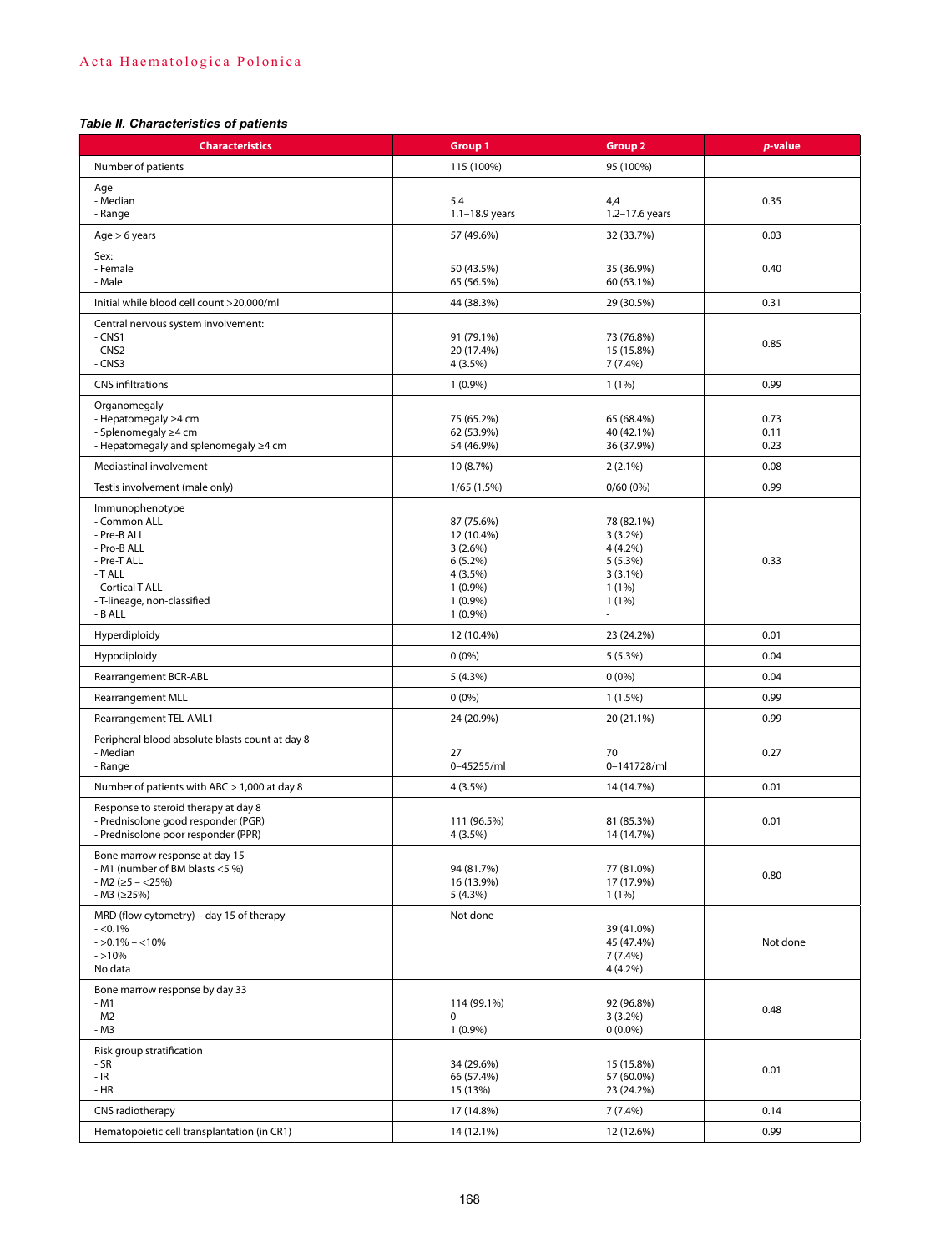# *Table II. Characteristics of patients*

| <b>Characteristics</b>                                                                                                                               | <b>Group 1</b>                                                                                          | <b>Group 2</b>                                                                     | p-value              |
|------------------------------------------------------------------------------------------------------------------------------------------------------|---------------------------------------------------------------------------------------------------------|------------------------------------------------------------------------------------|----------------------|
| Number of patients                                                                                                                                   | 115 (100%)                                                                                              | 95 (100%)                                                                          |                      |
| Age<br>- Median<br>- Range                                                                                                                           | 5.4<br>$1.1 - 18.9$ years                                                                               | 4,4<br>1.2-17.6 years                                                              | 0.35                 |
| Age > 6 years                                                                                                                                        | 57 (49.6%)                                                                                              | 32 (33.7%)                                                                         | 0.03                 |
| Sex:<br>- Female<br>- Male                                                                                                                           | 50 (43.5%)<br>65 (56.5%)                                                                                | 35 (36.9%)<br>60 (63.1%)                                                           | 0.40                 |
| Initial while blood cell count >20,000/ml                                                                                                            | 44 (38.3%)                                                                                              | 29 (30.5%)                                                                         | 0.31                 |
| Central nervous system involvement:<br>$-CNS1$<br>- CNS2<br>$-CNS3$                                                                                  | 91 (79.1%)<br>20 (17.4%)<br>4 (3.5%)                                                                    | 73 (76.8%)<br>15 (15.8%)<br>7(7.4%)                                                | 0.85                 |
| <b>CNS</b> infiltrations                                                                                                                             | $1(0.9\%)$                                                                                              | $1(1\%)$                                                                           | 0.99                 |
| Organomegaly<br>- Hepatomegaly ≥4 cm<br>- Splenomegaly ≥4 cm<br>- Hepatomegaly and splenomegaly ≥4 cm                                                | 75 (65.2%)<br>62 (53.9%)<br>54 (46.9%)                                                                  | 65 (68.4%)<br>40 (42.1%)<br>36 (37.9%)                                             | 0.73<br>0.11<br>0.23 |
| Mediastinal involvement                                                                                                                              | 10 (8.7%)                                                                                               | $2(2.1\%)$                                                                         | 0.08                 |
| Testis involvement (male only)                                                                                                                       | 1/65(1.5%)                                                                                              | $0/60(0\%)$                                                                        | 0.99                 |
| Immunophenotype<br>- Common ALL<br>- Pre-B ALL<br>- Pro-B ALL<br>- Pre-T ALL<br>-T ALL<br>- Cortical T ALL<br>- T-lineage, non-classified<br>- B ALL | 87 (75.6%)<br>12 (10.4%)<br>3(2.6%)<br>$6(5.2\%)$<br>4 (3.5%)<br>$1(0.9\%)$<br>$1(0.9\%)$<br>$1(0.9\%)$ | 78 (82.1%)<br>$3(3.2\%)$<br>4 (4.2%)<br>5(5.3%)<br>$3(3.1\%)$<br>1(1%)<br>$1(1\%)$ | 0.33                 |
| Hyperdiploidy                                                                                                                                        | 12 (10.4%)                                                                                              | 23 (24.2%)                                                                         | 0.01                 |
| Hypodiploidy                                                                                                                                         | $0(0\%)$                                                                                                | 5(5.3%)                                                                            | 0.04                 |
| Rearrangement BCR-ABL                                                                                                                                | 5(4.3%)                                                                                                 | $0(0\%)$                                                                           | 0.04                 |
| <b>Rearrangement MLL</b>                                                                                                                             | $0(0\%)$                                                                                                | $1(1.5\%)$                                                                         | 0.99                 |
| Rearrangement TEL-AML1                                                                                                                               | 24 (20.9%)                                                                                              | 20 (21.1%)                                                                         | 0.99                 |
| Peripheral blood absolute blasts count at day 8<br>- Median<br>- Range                                                                               | 27<br>0-45255/ml                                                                                        | 70<br>0-141728/ml                                                                  | 0.27                 |
| Number of patients with ABC > 1,000 at day 8                                                                                                         | 4 (3.5%)                                                                                                | 14 (14.7%)                                                                         | 0.01                 |
| Response to steroid therapy at day 8<br>- Prednisolone good responder (PGR)<br>- Prednisolone poor responder (PPR)                                   | 111 (96.5%)<br>4 (3.5%)                                                                                 | 81 (85.3%)<br>14 (14.7%)                                                           | 0.01                 |
| Bone marrow response at day 15<br>- M1 (number of BM blasts <5 %)<br>$-M2$ ( $\geq$ 5 – <25%)<br>$-M3$ ( $\geq$ 25%)                                 | 94 (81.7%)<br>16 (13.9%)<br>5(4.3%)                                                                     | 77 (81.0%)<br>17 (17.9%)<br>$1(1\%)$                                               | 0.80                 |
| MRD (flow cytometry) – day 15 of therapy<br>$-<0.1%$<br>$-50.1\% - 10\%$<br>$- > 10%$<br>No data                                                     | Not done                                                                                                | 39 (41.0%)<br>45 (47.4%)<br>7(7.4%)<br>4 (4.2%)                                    | Not done             |
| Bone marrow response by day 33<br>$-M1$<br>- M2<br>- M3                                                                                              | 114 (99.1%)<br>0<br>$1(0.9\%)$                                                                          | 92 (96.8%)<br>$3(3.2\%)$<br>$0(0.0\%)$                                             | 0.48                 |
| Risk group stratification<br>- SR<br>$-$ IR<br>$-HR$                                                                                                 | 34 (29.6%)<br>66 (57.4%)<br>15 (13%)                                                                    | 15 (15.8%)<br>57 (60.0%)<br>23 (24.2%)                                             | 0.01                 |
| CNS radiotherapy                                                                                                                                     | 17 (14.8%)                                                                                              | 7(7.4%)                                                                            | 0.14                 |
| Hematopoietic cell transplantation (in CR1)                                                                                                          | 14 (12.1%)                                                                                              | 12 (12.6%)                                                                         | 0.99                 |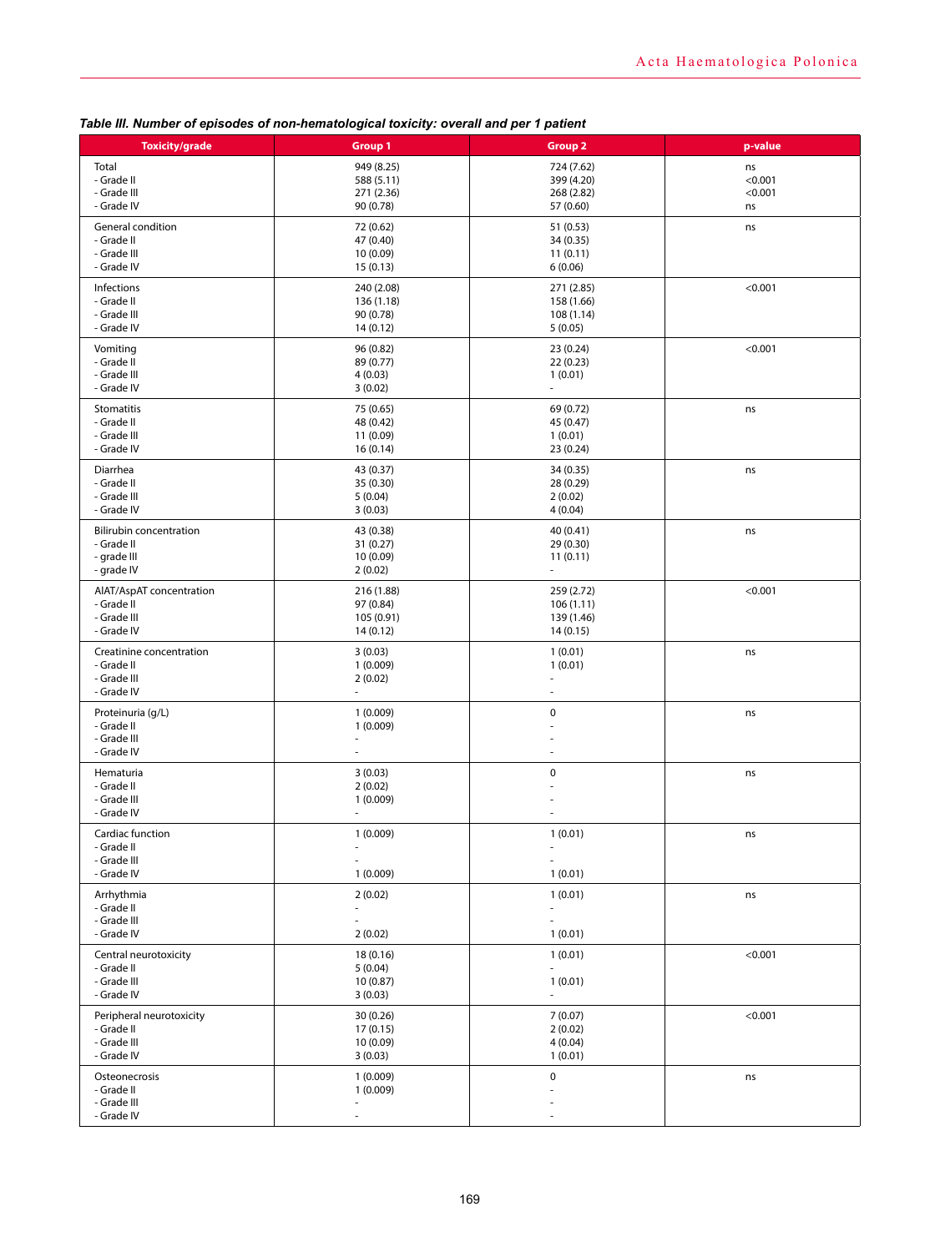| <b>Toxicity/grade</b>                                        | <b>Group 1</b>                                   | <b>Group 2</b>           | p-value |
|--------------------------------------------------------------|--------------------------------------------------|--------------------------|---------|
| Total                                                        | 949 (8.25)                                       | 724 (7.62)               | ns      |
| - Grade II                                                   | 588 (5.11)                                       | 399 (4.20)               | < 0.001 |
| - Grade III                                                  | 271 (2.36)                                       | 268 (2.82)               | < 0.001 |
| - Grade IV                                                   | 90 (0.78)                                        | 57 (0.60)                | ns      |
| General condition                                            | 72 (0.62)                                        | 51 (0.53)                | ns      |
| - Grade II                                                   | 47 (0.40)                                        | 34 (0.35)                |         |
| - Grade III                                                  | 10(0.09)                                         | 11(0.11)                 |         |
| - Grade IV                                                   | 15(0.13)                                         | 6(0.06)                  |         |
| Infections                                                   | 240 (2.08)                                       | 271 (2.85)               | < 0.001 |
| - Grade II                                                   | 136 (1.18)                                       | 158 (1.66)               |         |
| - Grade III                                                  | 90 (0.78)                                        | 108 (1.14)               |         |
| - Grade IV                                                   | 14 (0.12)                                        | 5(0.05)                  |         |
| Vomiting                                                     | 96 (0.82)                                        | 23 (0.24)                | < 0.001 |
| - Grade II                                                   | 89 (0.77)                                        | 22(0.23)                 |         |
| - Grade III                                                  | 4(0.03)                                          | 1(0.01)                  |         |
| - Grade IV                                                   | 3(0.02)                                          | ÷,                       |         |
| Stomatitis                                                   | 75 (0.65)                                        | 69 (0.72)                | ns      |
| - Grade II                                                   | 48 (0.42)                                        | 45 (0.47)                |         |
| - Grade III                                                  | 11 (0.09)                                        | 1(0.01)                  |         |
| - Grade IV                                                   | 16(0.14)                                         | 23 (0.24)                |         |
| Diarrhea                                                     | 43 (0.37)                                        | 34 (0.35)                | ns      |
| - Grade II                                                   | 35 (0.30)                                        | 28 (0.29)                |         |
| - Grade III                                                  | 5(0.04)                                          | 2(0.02)                  |         |
| - Grade IV                                                   | 3(0.03)                                          | 4(0.04)                  |         |
| <b>Bilirubin concentration</b>                               | 43 (0.38)                                        | 40 (0.41)                | ns      |
| - Grade II                                                   | 31(0.27)                                         | 29 (0.30)                |         |
| - grade III                                                  | 10 (0.09)                                        | 11(0.11)                 |         |
| - grade IV                                                   | 2(0.02)                                          | $\overline{\phantom{a}}$ |         |
| AIAT/AspAT concentration                                     | 216 (1.88)                                       | 259 (2.72)               | < 0.001 |
| - Grade II                                                   | 97 (0.84)                                        | 106(1.11)                |         |
| - Grade III                                                  | 105 (0.91)                                       | 139 (1.46)               |         |
| - Grade IV                                                   | 14 (0.12)                                        | 14 (0.15)                |         |
| Creatinine concentration                                     | 3(0.03)                                          | 1(0.01)                  | ns      |
| - Grade II                                                   | 1(0.009)                                         | 1(0.01)                  |         |
| - Grade III                                                  | 2(0.02)                                          | ä,                       |         |
| - Grade IV                                                   | ÷,                                               | ÷,                       |         |
| Proteinuria (g/L)<br>- Grade II<br>- Grade III<br>- Grade IV | 1(0.009)<br>1(0.009)<br>÷,<br>$\overline{a}$     | $\pmb{0}$<br>٠           | ns      |
| Hematuria<br>- Grade II<br>- Grade III<br>- Grade IV         | 3(0.03)<br>2(0.02)<br>1(0.009)                   | $\pmb{0}$                | ns      |
| Cardiac function                                             | 1(0.009)                                         | 1(0.01)                  | ns      |
| - Grade II                                                   | $\overline{\phantom{a}}$                         | $\overline{\phantom{a}}$ |         |
| - Grade III                                                  | $\sim$                                           | $\sim$                   |         |
| - Grade IV                                                   | 1(0.009)                                         | 1(0.01)                  |         |
| Arrhythmia                                                   | 2(0.02)                                          | 1(0.01)                  | ns      |
| - Grade II                                                   | $\overline{\phantom{a}}$                         | $\overline{\phantom{0}}$ |         |
| - Grade III                                                  | ٠                                                | ÷,                       |         |
| - Grade IV                                                   | 2(0.02)                                          | 1(0.01)                  |         |
| Central neurotoxicity                                        | 18 (0.16)                                        | 1(0.01)                  | < 0.001 |
| - Grade II                                                   | 5(0.04)                                          | L,                       |         |
| - Grade III                                                  | 10(0.87)                                         | 1(0.01)                  |         |
| - Grade IV                                                   | 3(0.03)                                          | L.                       |         |
| Peripheral neurotoxicity                                     | 30(0.26)                                         | 7(0.07)                  | < 0.001 |
| - Grade II                                                   | 17(0.15)                                         | 2(0.02)                  |         |
| - Grade III                                                  | 10 (0.09)                                        | 4(0.04)                  |         |
| - Grade IV                                                   | 3(0.03)                                          | 1(0.01)                  |         |
| Osteonecrosis<br>- Grade II<br>- Grade III<br>- Grade IV     | 1(0.009)<br>1(0.009)<br>$\overline{\phantom{a}}$ | 0                        | ns      |

*Table III. Number of episodes of non-hematological toxicity: overall and per 1 patient*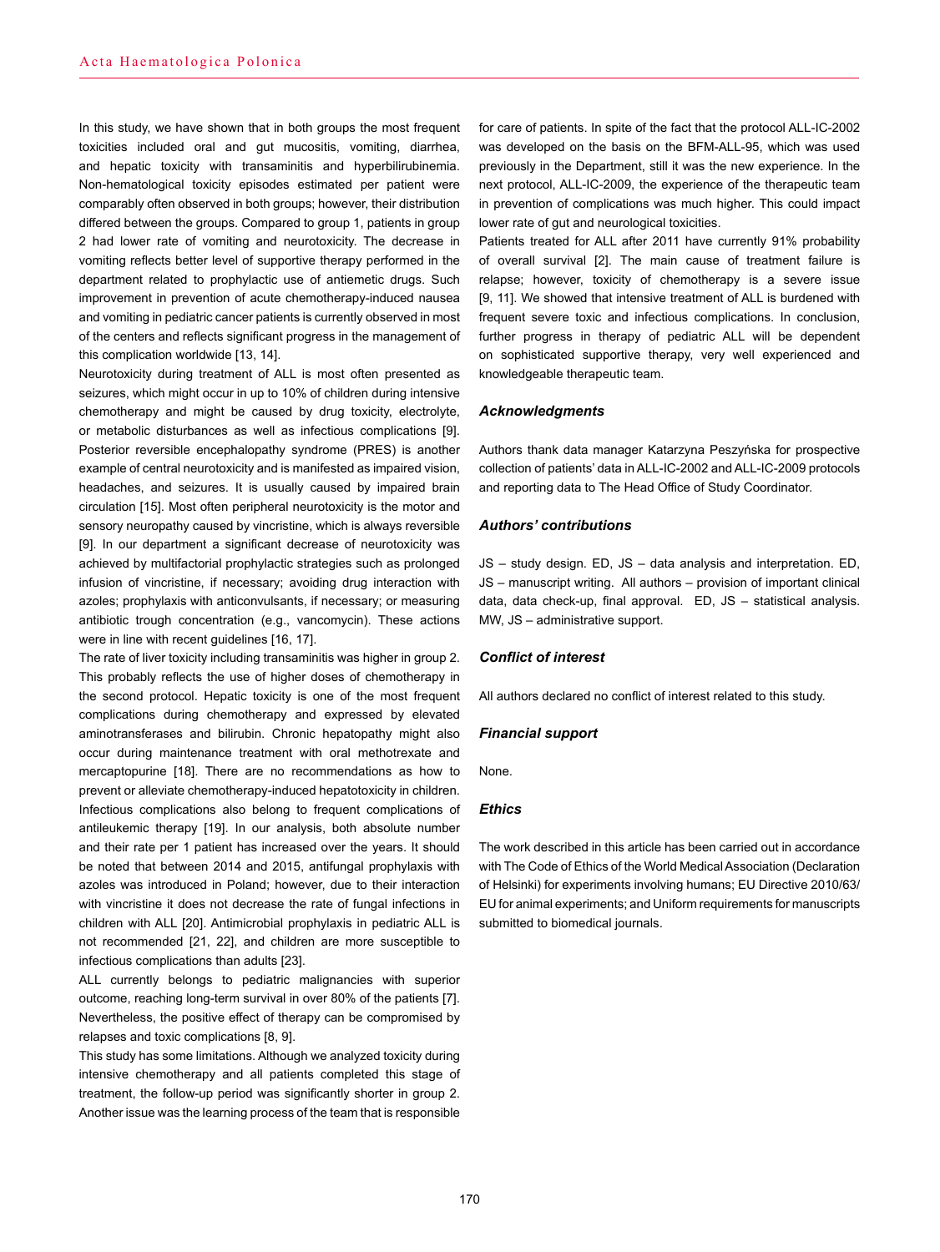In this study, we have shown that in both groups the most frequent toxicities included oral and gut mucositis, vomiting, diarrhea, and hepatic toxicity with transaminitis and hyperbilirubinemia. Non-hematological toxicity episodes estimated per patient were comparably often observed in both groups; however, their distribution differed between the groups. Compared to group 1, patients in group 2 had lower rate of vomiting and neurotoxicity. The decrease in vomiting reflects better level of supportive therapy performed in the department related to prophylactic use of antiemetic drugs. Such improvement in prevention of acute chemotherapy-induced nausea and vomiting in pediatric cancer patients is currently observed in most of the centers and reflects significant progress in the management of this complication worldwide [13, 14].

Neurotoxicity during treatment of ALL is most often presented as seizures, which might occur in up to 10% of children during intensive chemotherapy and might be caused by drug toxicity, electrolyte, or metabolic disturbances as well as infectious complications [9]. Posterior reversible encephalopathy syndrome (PRES) is another example of central neurotoxicity and is manifested as impaired vision, headaches, and seizures. It is usually caused by impaired brain circulation [15]. Most often peripheral neurotoxicity is the motor and sensory neuropathy caused by vincristine, which is always reversible [9]. In our department a significant decrease of neurotoxicity was achieved by multifactorial prophylactic strategies such as prolonged infusion of vincristine, if necessary; avoiding drug interaction with azoles; prophylaxis with anticonvulsants, if necessary; or measuring antibiotic trough concentration (e.g., vancomycin). These actions were in line with recent guidelines [16, 17].

The rate of liver toxicity including transaminitis was higher in group 2. This probably reflects the use of higher doses of chemotherapy in the second protocol. Hepatic toxicity is one of the most frequent complications during chemotherapy and expressed by elevated aminotransferases and bilirubin. Chronic hepatopathy might also occur during maintenance treatment with oral methotrexate and mercaptopurine [18]. There are no recommendations as how to prevent or alleviate chemotherapy-induced hepatotoxicity in children. Infectious complications also belong to frequent complications of antileukemic therapy [19]. In our analysis, both absolute number and their rate per 1 patient has increased over the years. It should be noted that between 2014 and 2015, antifungal prophylaxis with azoles was introduced in Poland; however, due to their interaction with vincristine it does not decrease the rate of fungal infections in children with ALL [20]. Antimicrobial prophylaxis in pediatric ALL is not recommended [21, 22], and children are more susceptible to infectious complications than adults [23].

ALL currently belongs to pediatric malignancies with superior outcome, reaching long-term survival in over 80% of the patients [7]. Nevertheless, the positive effect of therapy can be compromised by relapses and toxic complications [8, 9].

This study has some limitations. Although we analyzed toxicity during intensive chemotherapy and all patients completed this stage of treatment, the follow-up period was significantly shorter in group 2. Another issue was the learning process of the team that is responsible

for care of patients. In spite of the fact that the protocol ALL-IC-2002 was developed on the basis on the BFM-ALL-95, which was used previously in the Department, still it was the new experience. In the next protocol, ALL-IC-2009, the experience of the therapeutic team in prevention of complications was much higher. This could impact lower rate of gut and neurological toxicities.

Patients treated for ALL after 2011 have currently 91% probability of overall survival [2]. The main cause of treatment failure is relapse; however, toxicity of chemotherapy is a severe issue [9, 11]. We showed that intensive treatment of ALL is burdened with frequent severe toxic and infectious complications. In conclusion, further progress in therapy of pediatric ALL will be dependent on sophisticated supportive therapy, very well experienced and knowledgeable therapeutic team.

#### *Acknowledgments*

Authors thank data manager Katarzyna Peszyńska for prospective collection of patients' data in ALL-IC-2002 and ALL-IC-2009 protocols and reporting data to The Head Office of Study Coordinator.

#### *Authors' contributions*

JS – study design. ED, JS – data analysis and interpretation. ED, JS – manuscript writing. All authors – provision of important clinical data, data check-up, final approval. ED, JS – statistical analysis. MW, JS – administrative support.

## *Conflict of interest*

All authors declared no conflict of interest related to this study.

#### *Financial support*

None.

#### *Ethics*

The work described in this article has been carried out in accordance with The Code of Ethics of the World Medical Association (Declaration of Helsinki) for experiments involving humans; EU Directive 2010/63/ EU for animal experiments; and Uniform requirements for manuscripts submitted to biomedical journals.